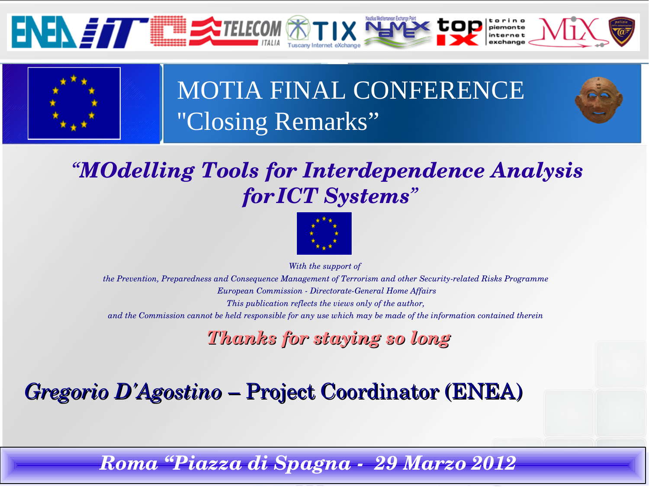



# MOTIA FINAL CONFERENCE ''Closing Remarks"

#### *"MOdelling Tools for Interdependence Analysis forICT Systems"*



*With the support of* 

*the Prevention, Preparedness and Consequence Management of Terrorism and other Security-related Risks Programme European Commission DirectorateGeneral Home Affairs This publication reflects the views only of the author, and the Commission cannot be held responsible for any use which may be made of the information contained therein*

*Thanks for staying so long*

*Gregorio D'Agostino* – Project Coordinator (ENEA)

*Gregorio D'Agostino – Roma March 29th Roma "Piazza di Spagna 29 Marzo 2012*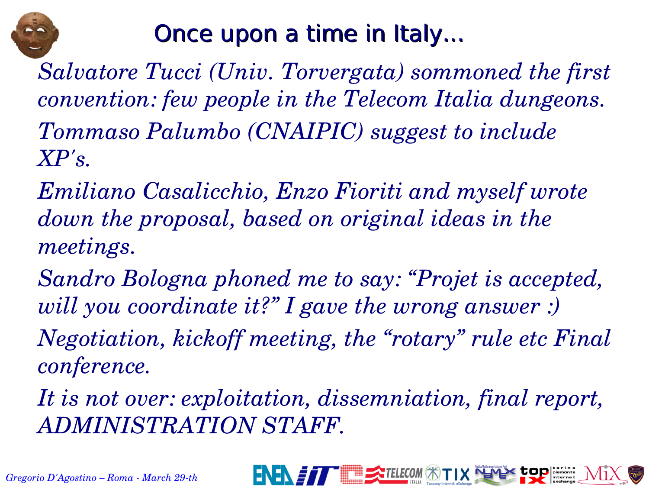

# Once upon a time in Italy...

*Salvatore Tucci (Univ. Torvergata) sommoned the first convention: few people in the Telecom Italia dungeons. Tommaso Palumbo (CNAIPIC) suggest to include XP's.*

*Emiliano Casalicchio, Enzo Fioriti and myself wrote down the proposal, based on original ideas in the meetings.*

*Sandro Bologna phoned me to say: "Projet is accepted, will you coordinate it?" I gave the wrong answer :)*

*Negotiation, kickoff meeting, the "rotary" rule etc Final conference.*

*It is not over: exploitation, dissemniation, final report, ADMINISTRATION STAFF.*

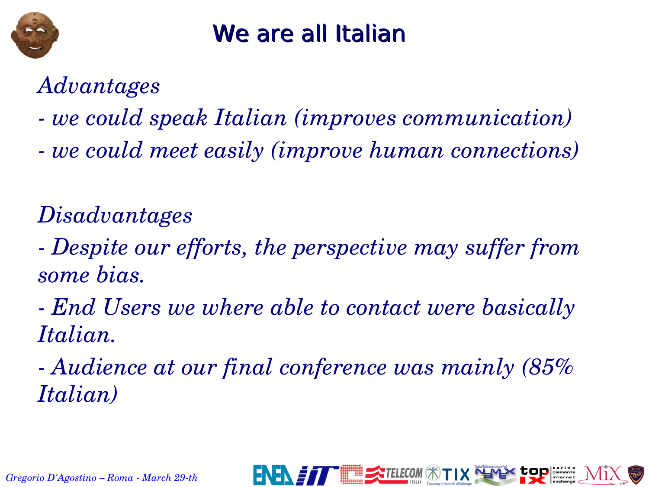

## We are all Italian

#### *Advantages*

- *we could speak Italian (improves communication)*
- *we could meet easily (improve human connections)*

## *Disadvantages*

- *Despite our efforts, the perspective may suffer from some bias.*
- *End Users we where able to contact were basically Italian.*
- *Audience at our final conference was mainly (85% Italian)*

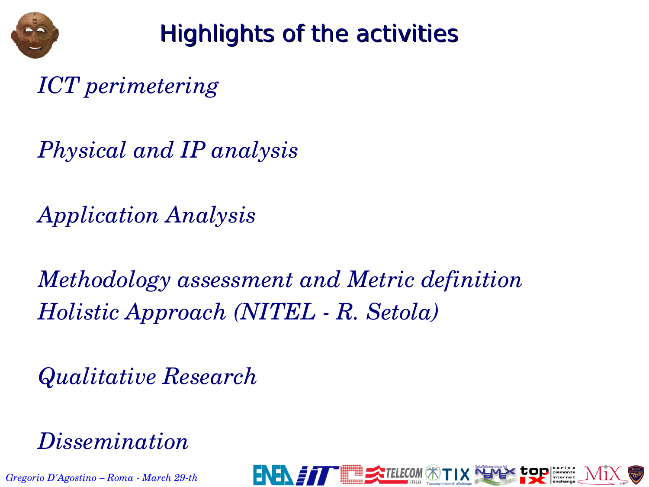

## Highlights of the activities

*ICT perimetering*

*Physical and IP analysis*

*Application Analysis*

*Methodology assessment and Metric definition Holistic Approach (NITEL R. Setola)*

*Qualitative Research*

*Dissemination*

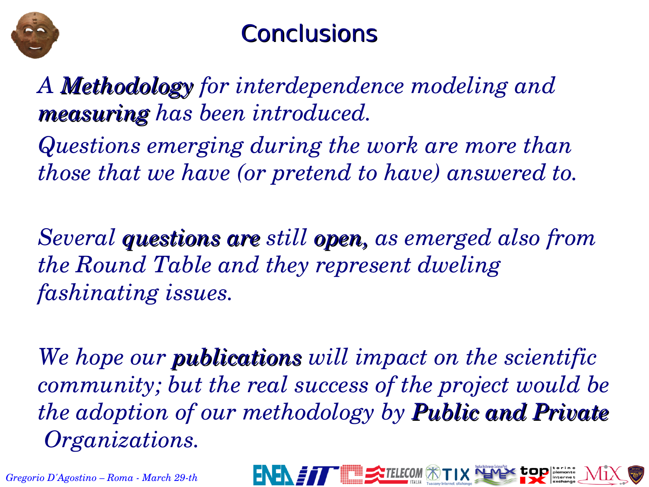

## **Conclusions**

*A Methodology for interdependence modeling and measuring has been introduced.*

*Questions emerging during the work are more than those that we have (or pretend to have) answered to.*

*Several questions are still open, as emerged also from the Round Table and they represent dweling fashinating issues.*

*We hope our publications will impact on the scientific community; but the real success of the project would be the adoption of our methodology by Public and Private Organizations.*

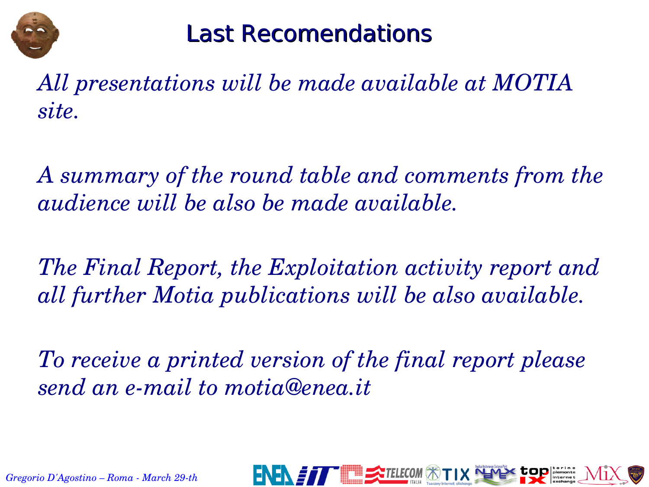

### Last Recomendations

*All presentations will be made available at MOTIA site.*

*A summary of the round table and comments from the audience will be also be made available.*

*The Final Report, the Exploitation activity report and all further Motia publications will be also available.*

*To receive a printed version of the final report please send an e-mail to motia@enea.it* 

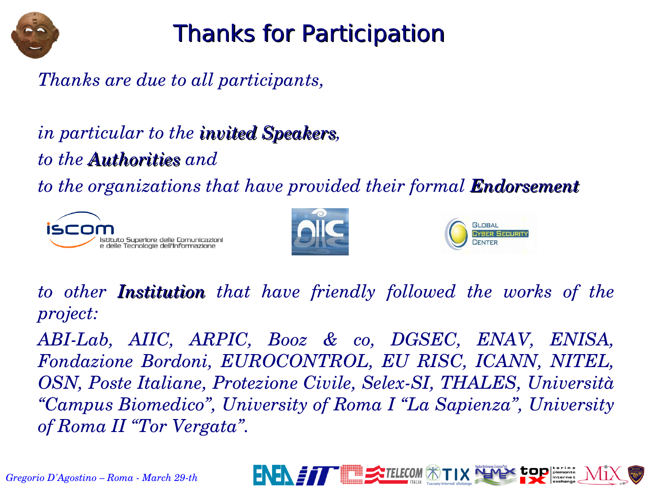

# Thanks for Participation

#### *Thanks are due to all participants,*

*in particular to the invited Speakers, to the Authorities and* 

*to the organizations that have provided their formal Endorsement*







*to other Institution that have friendly followed the works of the project:*

*ABILab, AIIC, ARPIC, Booz & co, DGSEC, ENAV, ENISA, Fondazione Bordoni, EUROCONTROL, EU RISC, ICANN, NITEL, OSN, Poste Italiane, Protezione Civile, Selex-SI, THALES, Università "Campus Biomedico", University of Roma I "La Sapienza", University of Roma II "Tor Vergata".*



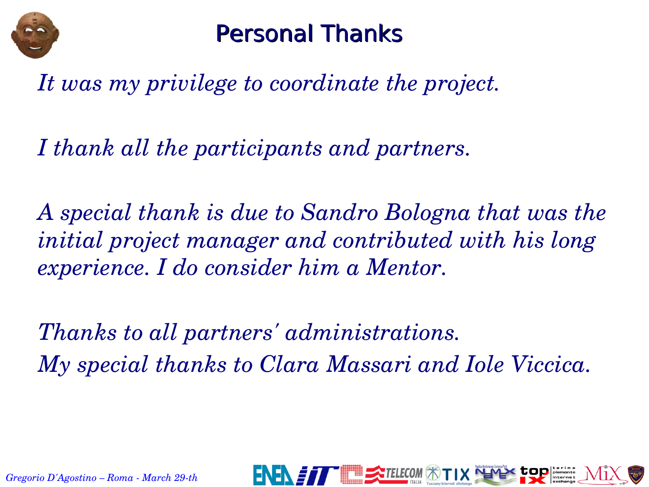

#### Personal Thanks

*It was my privilege to coordinate the project.*

*I thank all the participants and partners.* 

*A special thank is due to Sandro Bologna that was the initial project manager and contributed with his long experience. I do consider him a Mentor.*

*Thanks to all partners' administrations. My special thanks to Clara Massari and Iole Viccica.*